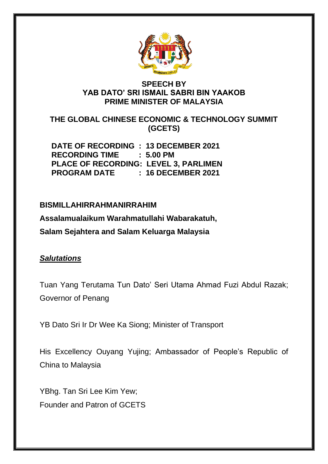

## **SPEECH BY YAB DATO' SRI ISMAIL SABRI BIN YAAKOB PRIME MINISTER OF MALAYSIA**

**THE GLOBAL CHINESE ECONOMIC & TECHNOLOGY SUMMIT (GCETS)**

**DATE OF RECORDING : 13 DECEMBER 2021 RECORDING TIME : 5.00 PM PLACE OF RECORDING: LEVEL 3, PARLIMEN PROGRAM DATE : 16 DECEMBER 2021**

# **BISMILLAHIRRAHMANIRRAHIM**

**Assalamualaikum Warahmatullahi Wabarakatuh,** 

**Salam Sejahtera and Salam Keluarga Malaysia**

## *Salutations*

Tuan Yang Terutama Tun Dato' Seri Utama Ahmad Fuzi Abdul Razak; Governor of Penang

YB Dato Sri Ir Dr Wee Ka Siong; Minister of Transport

His Excellency Ouyang Yujing; Ambassador of People's Republic of China to Malaysia

YBhg. Tan Sri Lee Kim Yew; Founder and Patron of GCETS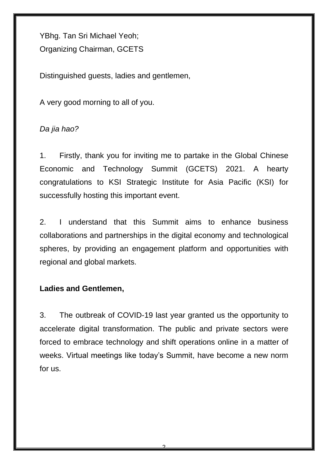YBhg. Tan Sri Michael Yeoh; Organizing Chairman, GCETS

Distinguished guests, ladies and gentlemen,

A very good morning to all of you.

*Da jia hao?*

1. Firstly, thank you for inviting me to partake in the Global Chinese Economic and Technology Summit (GCETS) 2021. A hearty congratulations to KSI Strategic Institute for Asia Pacific (KSI) for successfully hosting this important event.

2. I understand that this Summit aims to enhance business collaborations and partnerships in the digital economy and technological spheres, by providing an engagement platform and opportunities with regional and global markets.

# **Ladies and Gentlemen,**

3. The outbreak of COVID-19 last year granted us the opportunity to accelerate digital transformation. The public and private sectors were forced to embrace technology and shift operations online in a matter of weeks. Virtual meetings like today's Summit, have become a new norm for us.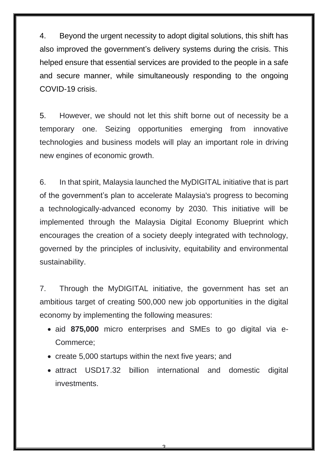4. Beyond the urgent necessity to adopt digital solutions, this shift has also improved the government's delivery systems during the crisis. This helped ensure that essential services are provided to the people in a safe and secure manner, while simultaneously responding to the ongoing COVID-19 crisis.

5. However, we should not let this shift borne out of necessity be a temporary one. Seizing opportunities emerging from innovative technologies and business models will play an important role in driving new engines of economic growth.

6. In that spirit, Malaysia launched the MyDIGITAL initiative that is part of the government's plan to accelerate Malaysia's progress to becoming a technologically-advanced economy by 2030. This initiative will be implemented through the Malaysia Digital Economy Blueprint which encourages the creation of a society deeply integrated with technology, governed by the principles of inclusivity, equitability and environmental sustainability.

7. Through the MyDIGITAL initiative, the government has set an ambitious target of creating 500,000 new job opportunities in the digital economy by implementing the following measures:

- aid **875,000** micro enterprises and SMEs to go digital via e-Commerce;
- create 5,000 startups within the next five years; and
- attract USD17.32 billion international and domestic digital investments.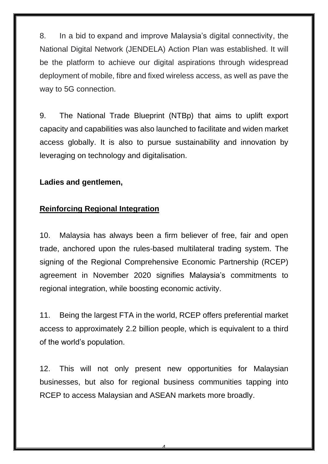8. In a bid to expand and improve Malaysia's digital connectivity, the National Digital Network (JENDELA) Action Plan was established. It will be the platform to achieve our digital aspirations through widespread deployment of mobile, fibre and fixed wireless access, as well as pave the way to 5G connection.

9. The National Trade Blueprint (NTBp) that aims to uplift export capacity and capabilities was also launched to facilitate and widen market access globally. It is also to pursue sustainability and innovation by leveraging on technology and digitalisation.

#### **Ladies and gentlemen,**

## **Reinforcing Regional Integration**

10. Malaysia has always been a firm believer of free, fair and open trade, anchored upon the rules-based multilateral trading system. The signing of the Regional Comprehensive Economic Partnership (RCEP) agreement in November 2020 signifies Malaysia's commitments to regional integration, while boosting economic activity.

11. Being the largest FTA in the world, RCEP offers preferential market access to approximately 2.2 billion people, which is equivalent to a third of the world's population.

12. This will not only present new opportunities for Malaysian businesses, but also for regional business communities tapping into RCEP to access Malaysian and ASEAN markets more broadly.

 $\Delta$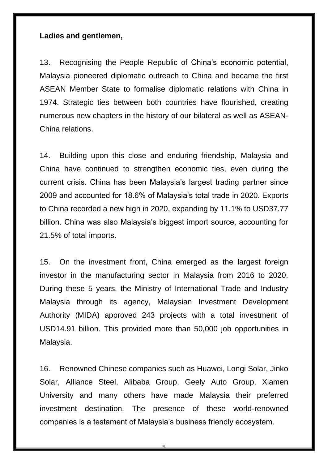#### **Ladies and gentlemen,**

13. Recognising the People Republic of China's economic potential, Malaysia pioneered diplomatic outreach to China and became the first ASEAN Member State to formalise diplomatic relations with China in 1974. Strategic ties between both countries have flourished, creating numerous new chapters in the history of our bilateral as well as ASEAN-China relations.

14. Building upon this close and enduring friendship, Malaysia and China have continued to strengthen economic ties, even during the current crisis. China has been Malaysia's largest trading partner since 2009 and accounted for 18.6% of Malaysia's total trade in 2020. Exports to China recorded a new high in 2020, expanding by 11.1% to USD37.77 billion. China was also Malaysia's biggest import source, accounting for 21.5% of total imports.

15. On the investment front, China emerged as the largest foreign investor in the manufacturing sector in Malaysia from 2016 to 2020. During these 5 years, the Ministry of International Trade and Industry Malaysia through its agency, Malaysian Investment Development Authority (MIDA) approved 243 projects with a total investment of USD14.91 billion. This provided more than 50,000 job opportunities in Malaysia.

16. Renowned Chinese companies such as Huawei, Longi Solar, Jinko Solar, Alliance Steel, Alibaba Group, Geely Auto Group, Xiamen University and many others have made Malaysia their preferred investment destination. The presence of these world-renowned companies is a testament of Malaysia's business friendly ecosystem.

<u>հ</u>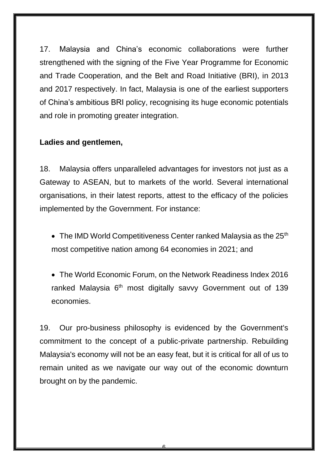17. Malaysia and China's economic collaborations were further strengthened with the signing of the Five Year Programme for Economic and Trade Cooperation, and the Belt and Road Initiative (BRI), in 2013 and 2017 respectively. In fact, Malaysia is one of the earliest supporters of China's ambitious BRI policy, recognising its huge economic potentials and role in promoting greater integration.

# **Ladies and gentlemen,**

18. Malaysia offers unparalleled advantages for investors not just as a Gateway to ASEAN, but to markets of the world. Several international organisations, in their latest reports, attest to the efficacy of the policies implemented by the Government. For instance:

- The IMD World Competitiveness Center ranked Malaysia as the  $25<sup>th</sup>$ most competitive nation among 64 economies in 2021; and
- The World Economic Forum, on the Network Readiness Index 2016 ranked Malaysia 6<sup>th</sup> most digitally savvy Government out of 139 economies.

19. Our pro-business philosophy is evidenced by the Government's commitment to the concept of a public-private partnership. Rebuilding Malaysia's economy will not be an easy feat, but it is critical for all of us to remain united as we navigate our way out of the economic downturn brought on by the pandemic.

<u>ፍ</u>